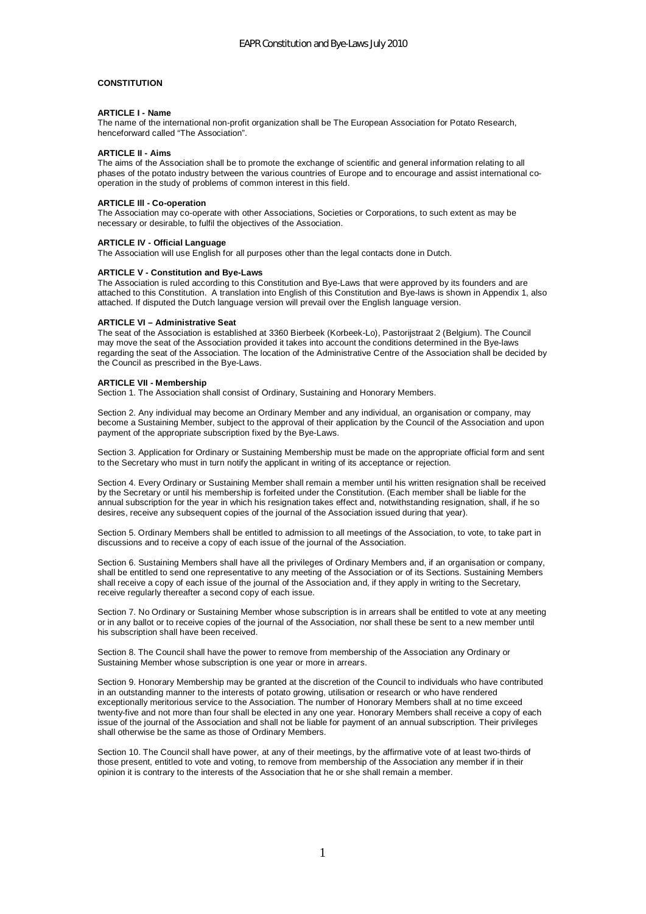## **CONSTITUTION**

#### **ARTICLE I - Name**

The name of the international non-profit organization shall be The European Association for Potato Research, henceforward called "The Association".

### **ARTICLE II - Aims**

The aims of the Association shall be to promote the exchange of scientific and general information relating to all phases of the potato industry between the various countries of Europe and to encourage and assist international cooperation in the study of problems of common interest in this field.

## **ARTICLE Ill - Co-operation**

The Association may co-operate with other Associations, Societies or Corporations, to such extent as may be necessary or desirable, to fulfil the objectives of the Association.

#### **ARTICLE IV - Official Language**

The Association will use English for all purposes other than the legal contacts done in Dutch.

#### **ARTICLE V - Constitution and Bye-Laws**

The Association is ruled according to this Constitution and Bye-Laws that were approved by its founders and are attached to this Constitution. A translation into English of this Constitution and Bye-laws is shown in Appendix 1, also attached. If disputed the Dutch language version will prevail over the English language version.

#### **ARTICLE VI – Administrative Seat**

The seat of the Association is established at 3360 Bierbeek (Korbeek-Lo), Pastorijstraat 2 (Belgium). The Council may move the seat of the Association provided it takes into account the conditions determined in the Bye-laws regarding the seat of the Association. The location of the Administrative Centre of the Association shall be decided by the Council as prescribed in the Bye-Laws.

#### **ARTICLE VII - Membership**

Section 1. The Association shall consist of Ordinary, Sustaining and Honorary Members.

Section 2. Any individual may become an Ordinary Member and any individual, an organisation or company, may become a Sustaining Member, subject to the approval of their application by the Council of the Association and upon payment of the appropriate subscription fixed by the Bye-Laws.

Section 3. Application for Ordinary or Sustaining Membership must be made on the appropriate official form and sent to the Secretary who must in turn notify the applicant in writing of its acceptance or rejection.

Section 4. Every Ordinary or Sustaining Member shall remain a member until his written resignation shall be received by the Secretary or until his membership is forfeited under the Constitution. (Each member shall be liable for the annual subscription for the year in which his resignation takes effect and, notwithstanding resignation, shall, if he so desires, receive any subsequent copies of the journal of the Association issued during that year).

Section 5. Ordinary Members shall be entitled to admission to all meetings of the Association, to vote, to take part in discussions and to receive a copy of each issue of the journal of the Association.

Section 6. Sustaining Members shall have all the privileges of Ordinary Members and, if an organisation or company, shall be entitled to send one representative to any meeting of the Association or of its Sections. Sustaining Members shall receive a copy of each issue of the journal of the Association and, if they apply in writing to the Secretary, receive regularly thereafter a second copy of each issue.

Section 7. No Ordinary or Sustaining Member whose subscription is in arrears shall be entitled to vote at any meeting or in any ballot or to receive copies of the journal of the Association, nor shall these be sent to a new member until his subscription shall have been received.

Section 8. The Council shall have the power to remove from membership of the Association any Ordinary or Sustaining Member whose subscription is one year or more in arrears.

Section 9. Honorary Membership may be granted at the discretion of the Council to individuals who have contributed in an outstanding manner to the interests of potato growing, utilisation or research or who have rendered exceptionally meritorious service to the Association. The number of Honorary Members shall at no time exceed twenty-five and not more than four shall be elected in any one year. Honorary Members shall receive a copy of each issue of the journal of the Association and shall not be liable for payment of an annual subscription. Their privileges shall otherwise be the same as those of Ordinary Members.

Section 10. The Council shall have power, at any of their meetings, by the affirmative vote of at least two-thirds of those present, entitled to vote and voting, to remove from membership of the Association any member if in their opinion it is contrary to the interests of the Association that he or she shall remain a member.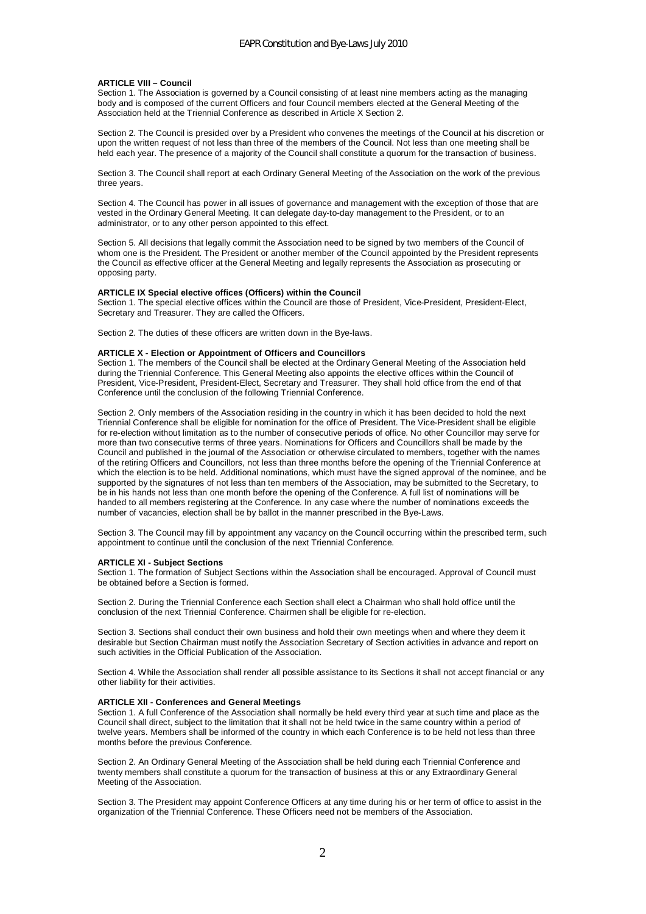### **ARTICLE VIII – Council**

Section 1. The Association is governed by a Council consisting of at least nine members acting as the managing body and is composed of the current Officers and four Council members elected at the General Meeting of the Association held at the Triennial Conference as described in Article X Section 2.

Section 2. The Council is presided over by a President who convenes the meetings of the Council at his discretion or upon the written request of not less than three of the members of the Council. Not less than one meeting shall be held each year. The presence of a majority of the Council shall constitute a quorum for the transaction of business.

Section 3. The Council shall report at each Ordinary General Meeting of the Association on the work of the previous three years.

Section 4. The Council has power in all issues of governance and management with the exception of those that are vested in the Ordinary General Meeting. It can delegate day-to-day management to the President, or to an administrator, or to any other person appointed to this effect.

Section 5. All decisions that legally commit the Association need to be signed by two members of the Council of whom one is the President. The President or another member of the Council appointed by the President represents the Council as effective officer at the General Meeting and legally represents the Association as prosecuting or opposing party.

#### **ARTICLE IX Special elective offices (Officers) within the Council**

Section 1. The special elective offices within the Council are those of President, Vice-President, President-Elect, Secretary and Treasurer. They are called the Officers.

Section 2. The duties of these officers are written down in the Bye-laws.

#### **ARTICLE X - Election or Appointment of Officers and Councillors**

Section 1. The members of the Council shall be elected at the Ordinary General Meeting of the Association held during the Triennial Conference. This General Meeting also appoints the elective offices within the Council of President, Vice-President, President-Elect, Secretary and Treasurer. They shall hold office from the end of that Conference until the conclusion of the following Triennial Conference.

Section 2. Only members of the Association residing in the country in which it has been decided to hold the next Triennial Conference shall be eligible for nomination for the office of President. The Vice-President shall be eligible for re-election without limitation as to the number of consecutive periods of office. No other Councillor may serve for more than two consecutive terms of three years. Nominations for Officers and Councillors shall be made by the Council and published in the journal of the Association or otherwise circulated to members, together with the names of the retiring Officers and Councillors, not less than three months before the opening of the Triennial Conference at which the election is to be held. Additional nominations, which must have the signed approval of the nominee, and be supported by the signatures of not less than ten members of the Association, may be submitted to the Secretary, to be in his hands not less than one month before the opening of the Conference. A full list of nominations will be handed to all members registering at the Conference. In any case where the number of nominations exceeds the number of vacancies, election shall be by ballot in the manner prescribed in the Bye-Laws.

Section 3. The Council may fill by appointment any vacancy on the Council occurring within the prescribed term, such appointment to continue until the conclusion of the next Triennial Conference.

## **ARTICLE XI - Subject Sections**

Section 1. The formation of Subject Sections within the Association shall be encouraged. Approval of Council must be obtained before a Section is formed.

Section 2. During the Triennial Conference each Section shall elect a Chairman who shall hold office until the conclusion of the next Triennial Conference. Chairmen shall be eligible for re-election.

Section 3. Sections shall conduct their own business and hold their own meetings when and where they deem it desirable but Section Chairman must notify the Association Secretary of Section activities in advance and report on such activities in the Official Publication of the Association.

Section 4. While the Association shall render all possible assistance to its Sections it shall not accept financial or any other liability for their activities.

#### **ARTICLE XII - Conferences and General Meetings**

Section 1. A full Conference of the Association shall normally be held every third year at such time and place as the Council shall direct, subject to the limitation that it shall not be held twice in the same country within a period of twelve years. Members shall be informed of the country in which each Conference is to be held not less than three months before the previous Conference.

Section 2. An Ordinary General Meeting of the Association shall be held during each Triennial Conference and twenty members shall constitute a quorum for the transaction of business at this or any Extraordinary General Meeting of the Association.

Section 3. The President may appoint Conference Officers at any time during his or her term of office to assist in the organization of the Triennial Conference. These Officers need not be members of the Association.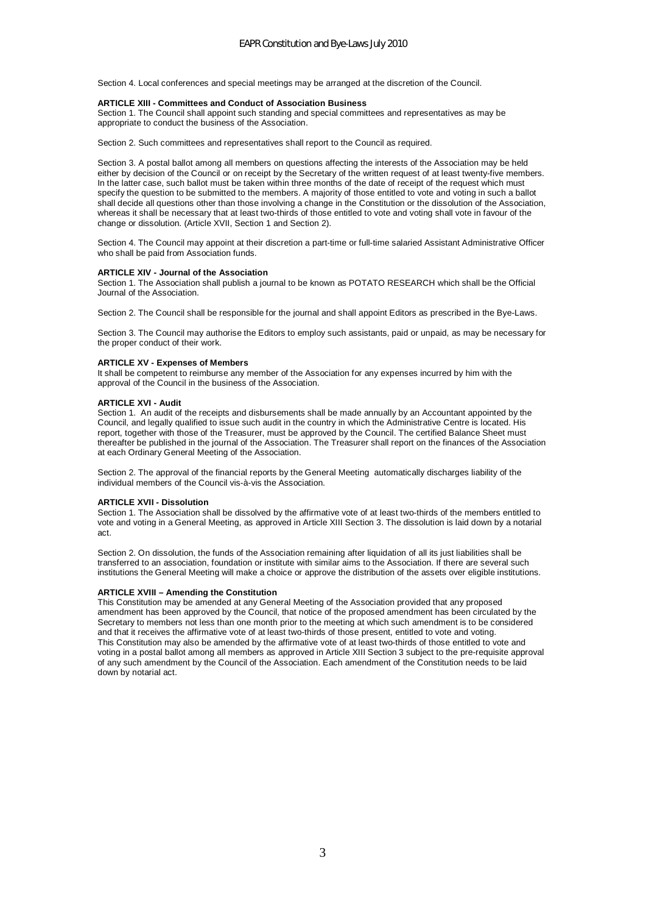Section 4. Local conferences and special meetings may be arranged at the discretion of the Council.

### **ARTICLE XIII - Committees and Conduct of Association Business**

Section 1. The Council shall appoint such standing and special committees and representatives as may be appropriate to conduct the business of the Association.

Section 2. Such committees and representatives shall report to the Council as required.

Section 3. A postal ballot among all members on questions affecting the interests of the Association may be held either by decision of the Council or on receipt by the Secretary of the written request of at least twenty-five members. In the latter case, such ballot must be taken within three months of the date of receipt of the request which must specify the question to be submitted to the members. A majority of those entitled to vote and voting in such a ballot shall decide all questions other than those involving a change in the Constitution or the dissolution of the Association, whereas it shall be necessary that at least two-thirds of those entitled to vote and voting shall vote in favour of the change or dissolution. (Article XVII, Section 1 and Section 2).

Section 4. The Council may appoint at their discretion a part-time or full-time salaried Assistant Administrative Officer who shall be paid from Association funds.

#### **ARTICLE XIV - Journal of the Association**

Section 1. The Association shall publish a journal to be known as POTATO RESEARCH which shall be the Official Journal of the Association.

Section 2. The Council shall be responsible for the journal and shall appoint Editors as prescribed in the Bye-Laws.

Section 3. The Council may authorise the Editors to employ such assistants, paid or unpaid, as may be necessary for the proper conduct of their work.

#### **ARTICLE XV - Expenses of Members**

It shall be competent to reimburse any member of the Association for any expenses incurred by him with the approval of the Council in the business of the Association.

### **ARTICLE XVI - Audit**

Section 1. An audit of the receipts and disbursements shall be made annually by an Accountant appointed by the Council, and legally qualified to issue such audit in the country in which the Administrative Centre is located. His report, together with those of the Treasurer, must be approved by the Council. The certified Balance Sheet must thereafter be published in the journal of the Association. The Treasurer shall report on the finances of the Association at each Ordinary General Meeting of the Association.

Section 2. The approval of the financial reports by the General Meeting automatically discharges liability of the individual members of the Council vis-à-vis the Association.

#### **ARTICLE XVII - Dissolution**

Section 1. The Association shall be dissolved by the affirmative vote of at least two-thirds of the members entitled to vote and voting in a General Meeting, as approved in Article XIII Section 3. The dissolution is laid down by a notarial act.

Section 2. On dissolution, the funds of the Association remaining after liquidation of all its just liabilities shall be transferred to an association, foundation or institute with similar aims to the Association. If there are several such institutions the General Meeting will make a choice or approve the distribution of the assets over eligible institutions.

#### **ARTICLE XVIII – Amending the Constitution**

This Constitution may be amended at any General Meeting of the Association provided that any proposed amendment has been approved by the Council, that notice of the proposed amendment has been circulated by the Secretary to members not less than one month prior to the meeting at which such amendment is to be considered and that it receives the affirmative vote of at least two-thirds of those present, entitled to vote and voting. This Constitution may also be amended by the affirmative vote of at least two-thirds of those entitled to vote and voting in a postal ballot among all members as approved in Article XIII Section 3 subject to the pre-requisite approval of any such amendment by the Council of the Association. Each amendment of the Constitution needs to be laid down by notarial act.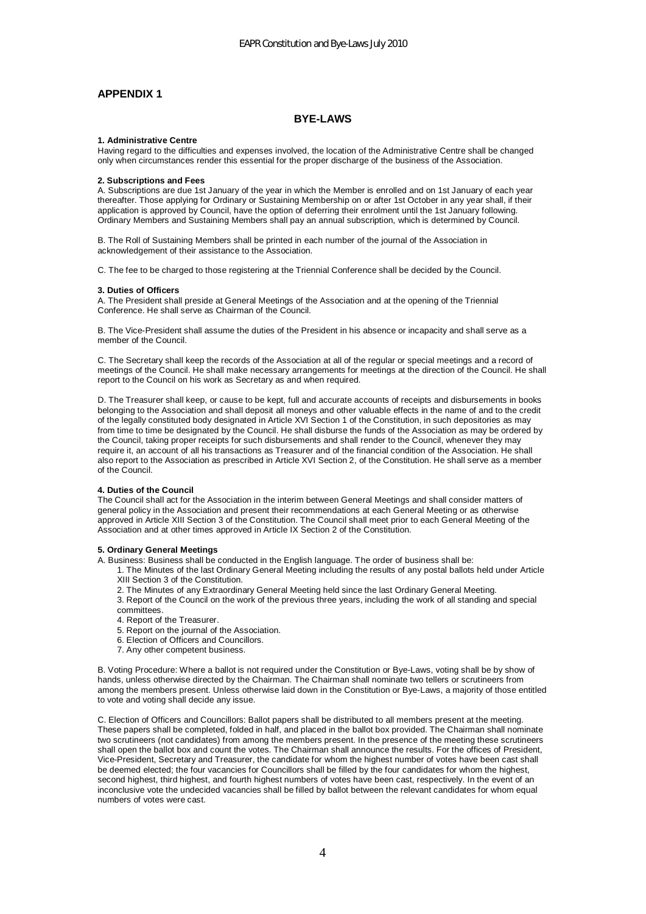# **APPENDIX 1**

## **BYE-LAWS**

## **1. Administrative Centre**

Having regard to the difficulties and expenses involved, the location of the Administrative Centre shall be changed only when circumstances render this essential for the proper discharge of the business of the Association.

#### **2. Subscriptions and Fees**

A. Subscriptions are due 1st January of the year in which the Member is enrolled and on 1st January of each year thereafter. Those applying for Ordinary or Sustaining Membership on or after 1st October in any year shall, if their application is approved by Council, have the option of deferring their enrolment until the 1st January following. Ordinary Members and Sustaining Members shall pay an annual subscription, which is determined by Council.

B. The Roll of Sustaining Members shall be printed in each number of the journal of the Association in acknowledgement of their assistance to the Association.

C. The fee to be charged to those registering at the Triennial Conference shall be decided by the Council.

## **3. Duties of Officers**

A. The President shall preside at General Meetings of the Association and at the opening of the Triennial Conference. He shall serve as Chairman of the Council.

B. The Vice-President shall assume the duties of the President in his absence or incapacity and shall serve as a member of the Council.

C. The Secretary shall keep the records of the Association at all of the regular or special meetings and a record of meetings of the Council. He shall make necessary arrangements for meetings at the direction of the Council. He shall report to the Council on his work as Secretary as and when required.

D. The Treasurer shall keep, or cause to be kept, full and accurate accounts of receipts and disbursements in books belonging to the Association and shall deposit all moneys and other valuable effects in the name of and to the credit of the legally constituted body designated in Article XVI Section 1 of the Constitution, in such depositories as may from time to time be designated by the Council. He shall disburse the funds of the Association as may be ordered by the Council, taking proper receipts for such disbursements and shall render to the Council, whenever they may require it, an account of all his transactions as Treasurer and of the financial condition of the Association. He shall also report to the Association as prescribed in Article XVI Section 2, of the Constitution. He shall serve as a member of the Council.

## **4. Duties of the Council**

The Council shall act for the Association in the interim between General Meetings and shall consider matters of general policy in the Association and present their recommendations at each General Meeting or as otherwise approved in Article XIII Section 3 of the Constitution. The Council shall meet prior to each General Meeting of the Association and at other times approved in Article IX Section 2 of the Constitution.

#### **5. Ordinary General Meetings**

A. Business: Business shall be conducted in the English language. The order of business shall be:

- 1. The Minutes of the last Ordinary General Meeting including the results of any postal ballots held under Article XIII Section 3 of the Constitution.
- 2. The Minutes of any Extraordinary General Meeting held since the last Ordinary General Meeting.
- 3. Report of the Council on the work of the previous three years, including the work of all standing and special committees.
- 4. Report of the Treasurer.
- 5. Report on the journal of the Association.
- 6. Election of Officers and Councillors.
- 7. Any other competent business.

B. Voting Procedure: Where a ballot is not required under the Constitution or Bye-Laws, voting shall be by show of hands, unless otherwise directed by the Chairman. The Chairman shall nominate two tellers or scrutineers from among the members present. Unless otherwise laid down in the Constitution or Bye-Laws, a majority of those entitled to vote and voting shall decide any issue.

C. Election of Officers and Councillors: Ballot papers shall be distributed to all members present at the meeting. These papers shall be completed, folded in half, and placed in the ballot box provided. The Chairman shall nominate two scrutineers (not candidates) from among the members present. In the presence of the meeting these scrutineers shall open the ballot box and count the votes. The Chairman shall announce the results. For the offices of President, Vice-President, Secretary and Treasurer, the candidate for whom the highest number of votes have been cast shall be deemed elected; the four vacancies for Councillors shall be filled by the four candidates for whom the highest, second highest, third highest, and fourth highest numbers of votes have been cast, respectively. In the event of an inconclusive vote the undecided vacancies shall be filled by ballot between the relevant candidates for whom equal numbers of votes were cast.